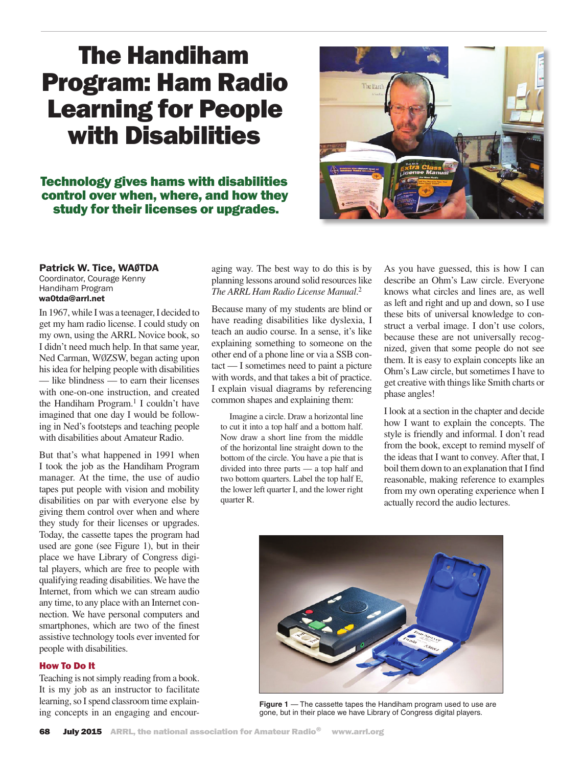# The Handiham Program: Ham Radio Learning for People with Disabilities

# Technology gives hams with disabilities control over when, where, and how they study for their licenses or upgrades.



# Patrick W. Tice, WAØTDA

Coordinator, Courage Kenny Handiham Program wa0tda@arrl.net

In 1967, while I was a teenager, I decided to get my ham radio license. I could study on my own, using the ARRL Novice book, so I didn't need much help. In that same year, Ned Carman, WØZSW, began acting upon his idea for helping people with disabilities — like blindness — to earn their licenses with one-on-one instruction, and created the Handiham Program.<sup>1</sup> I couldn't have imagined that one day I would be following in Ned's footsteps and teaching people with disabilities about Amateur Radio.

But that's what happened in 1991 when I took the job as the Handiham Program manager. At the time, the use of audio tapes put people with vision and mobility disabilities on par with everyone else by giving them control over when and where they study for their licenses or upgrades. Today, the cassette tapes the program had used are gone (see Figure 1), but in their place we have Library of Congress digital players, which are free to people with qualifying reading disabilities. We have the Internet, from which we can stream audio any time, to any place with an Internet connection. We have personal computers and smartphones, which are two of the finest assistive technology tools ever invented for people with disabilities.

## How To Do It

Teaching is not simply reading from a book. It is my job as an instructor to facilitate learning, so I spend classroom time explain-

aging way. The best way to do this is by planning lessons around solid resources like *The ARRL Ham Radio License Manual*. 2

Because many of my students are blind or have reading disabilities like dyslexia, I teach an audio course. In a sense, it's like explaining something to someone on the other end of a phone line or via a SSB contact — I sometimes need to paint a picture with words, and that takes a bit of practice. I explain visual diagrams by referencing common shapes and explaining them:

Imagine a circle. Draw a horizontal line to cut it into a top half and a bottom half. Now draw a short line from the middle of the horizontal line straight down to the bottom of the circle. You have a pie that is divided into three parts — a top half and two bottom quarters. Label the top half E, the lower left quarter I, and the lower right quarter R.

As you have guessed, this is how I can describe an Ohm's Law circle. Everyone knows what circles and lines are, as well as left and right and up and down, so I use these bits of universal knowledge to construct a verbal image. I don't use colors, because these are not universally recognized, given that some people do not see them. It is easy to explain concepts like an Ohm's Law circle, but sometimes I have to get creative with things like Smith charts or phase angles!

I look at a section in the chapter and decide how I want to explain the concepts. The style is friendly and informal. I don't read from the book, except to remind myself of the ideas that I want to convey. After that, I boil them down to an explanation that I find reasonable, making reference to examples from my own operating experience when I actually record the audio lectures.



rearning, so I spend classroom unie explain-<br> **Figure 1** — The cassette tapes the Handiham program used to use are<br>
gone, but in their place we have Library of Congress digital players.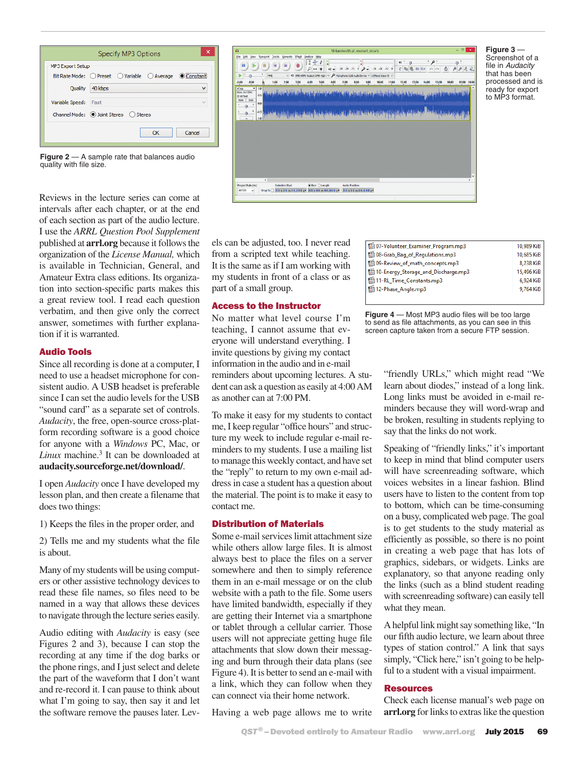

Transport Ducks Screente Effect Analyse Hop<br>  $\begin{array}{|c|c|c|c|c|}\n\hline\n\textbf{1} & \textbf{1} & \textbf{1} & \textbf{1} & \textbf{1} & \textbf{1} & \textbf{1} & \textbf{1} & \textbf{1} & \textbf{1} & \textbf{1} & \textbf{1} & \textbf{1} & \textbf{1} & \textbf{1} & \textbf{1} & \textbf{1} & \textbf{1} & \textbf{1} & \textbf{1} & \textbf{1} & \textbf{1}$  $\mathbf{u}$ ) .<br>38 . 28 . 32 . 8 . 24 . 32 . 32 . 8  $\overline{a}$ 1500 star and the start of the start of the start of the start of the start 

**Figure 3** — Screenshot of a file in *Audacity* that has been processed and is ready for export to MP3 format.

**Figure 2** — A sample rate that balances audio quality with file size.

Reviews in the lecture series can come at intervals after each chapter, or at the end of each section as part of the audio lecture. I use the *ARRL Question Pool Supplement* published at **arrl.org** because it follows the organization of the *License Manual,* which is available in Technician, General, and Amateur Extra class editions. Its organization into section-specific parts makes this a great review tool. I read each question verbatim, and then give only the correct answer, sometimes with further explanation if it is warranted.

# Audio Tools

Since all recording is done at a computer, I need to use a headset microphone for consistent audio. A USB headset is preferable since I can set the audio levels for the USB "sound card" as a separate set of controls. *Audacity*, the free, open-source cross-platform recording software is a good choice for anyone with a *Windows* PC, Mac, or *Linux* machine.<sup>3</sup> It can be downloaded at **audacity.sourceforge.net/download/**.

I open *Audacity* once I have developed my lesson plan, and then create a filename that does two things:

1) Keeps the files in the proper order, and

2) Tells me and my students what the file is about.

Many of my students will be using computers or other assistive technology devices to read these file names, so files need to be named in a way that allows these devices to navigate through the lecture series easily.

Audio editing with *Audacity* is easy (see Figures 2 and 3), because I can stop the recording at any time if the dog barks or the phone rings, and I just select and delete the part of the waveform that I don't want and re-record it. I can pause to think about what I'm going to say, then say it and let the software remove the pauses later. Levels can be adjusted, too. I never read from a scripted text while teaching. It is the same as if I am working with my students in front of a class or as part of a small group.

## Access to the Instructor

No matter what level course I'm teaching, I cannot assume that everyone will understand everything. I invite questions by giving my contact information in the audio and in e-mail reminders about upcoming lectures. A student can ask a question as easily at 4:00 AM as another can at 7:00 PM.

To make it easy for my students to contact me, I keep regular "office hours" and structure my week to include regular e-mail reminders to my students. I use a mailing list to manage this weekly contact, and have set the "reply" to return to my own e-mail address in case a student has a question about the material. The point is to make it easy to contact me.

## Distribution of Materials

Some e-mail services limit attachment size while others allow large files. It is almost always best to place the files on a server somewhere and then to simply reference them in an e-mail message or on the club website with a path to the file. Some users have limited bandwidth, especially if they are getting their Internet via a smartphone or tablet through a cellular carrier. Those users will not appreciate getting huge file attachments that slow down their messaging and burn through their data plans (see Figure 4). It is better to send an e-mail with a link, which they can follow when they can connect via their home network.

| 65107-Volunteer_Examiner_Program.mp3 | 10,989 KiB |
|--------------------------------------|------------|
| 65108-Grab_Bag_of_Regulations.mp3    | 10,685 KiB |
| 65109-Review_of_math_concepts.mp3    | 8.238 KiB  |
| 10-Energy_Storage_and_Discharge.mp3  | 15,496 KiB |
| <b>题 11-RL_Time_Constants.mp3</b>    | 6,924 KiB  |
| 12-Phase_Angle.mp3                   | 9,764 KiB  |
|                                      |            |

**Figure 4** — Most MP3 audio files will be too large to send as file attachments, as you can see in this screen capture taken from a secure FTP session.

> "friendly URLs," which might read "We learn about diodes," instead of a long link. Long links must be avoided in e-mail reminders because they will word-wrap and be broken, resulting in students replying to say that the links do not work.

> Speaking of "friendly links," it's important to keep in mind that blind computer users will have screenreading software, which voices websites in a linear fashion. Blind users have to listen to the content from top to bottom, which can be time-consuming on a busy, complicated web page. The goal is to get students to the study material as efficiently as possible, so there is no point in creating a web page that has lots of graphics, sidebars, or widgets. Links are explanatory, so that anyone reading only the links (such as a blind student reading with screenreading software) can easily tell what they mean.

> A helpful link might say something like, "In our fifth audio lecture, we learn about three types of station control." A link that says simply, "Click here," isn't going to be helpful to a student with a visual impairment.

## Resources

Check each license manual's web page on **arrl.org** for links to extras like the question

Having a web page allows me to write